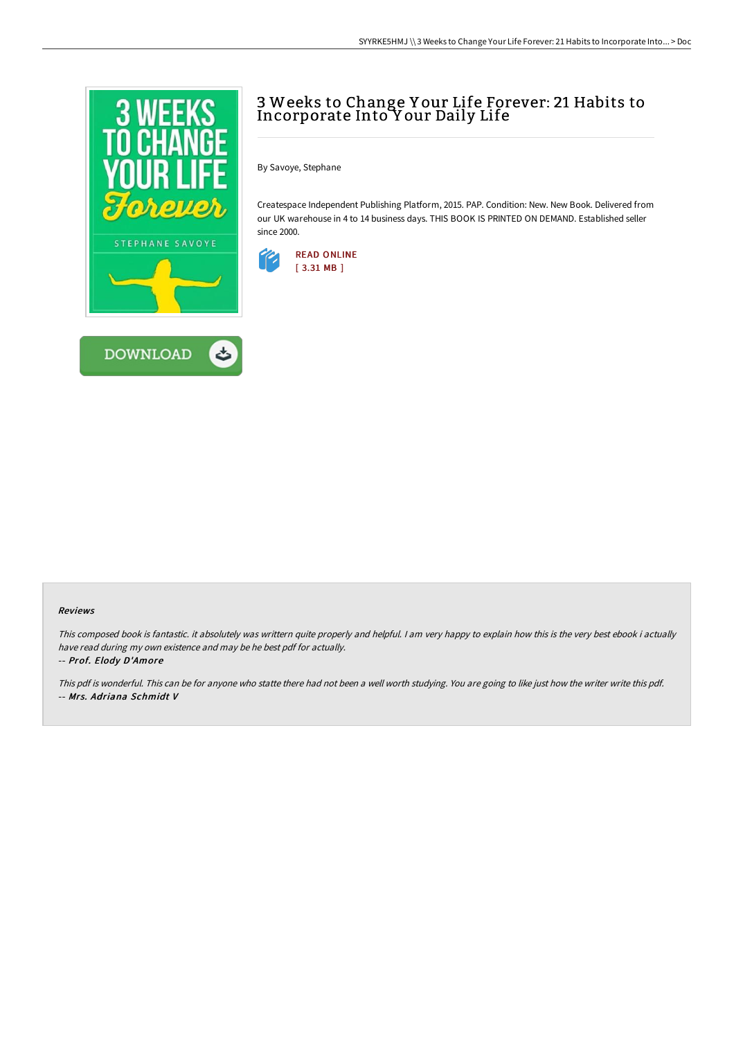



# 3 Weeks to Change Y our Life Forever: 21 Habits to Incorporate Into Y our Daily Life

By Savoye, Stephane

Createspace Independent Publishing Platform, 2015. PAP. Condition: New. New Book. Delivered from our UK warehouse in 4 to 14 business days. THIS BOOK IS PRINTED ON DEMAND. Established seller since 2000.



#### Reviews

This composed book is fantastic. it absolutely was writtern quite properly and helpful. I am very happy to explain how this is the very best ebook i actually have read during my own existence and may be he best pdf for actually.

-- Prof. Elody D'Amore

This pdf is wonderful. This can be for anyone who statte there had not been <sup>a</sup> well worth studying. You are going to like just how the writer write this pdf. -- Mrs. Adriana Schmidt V